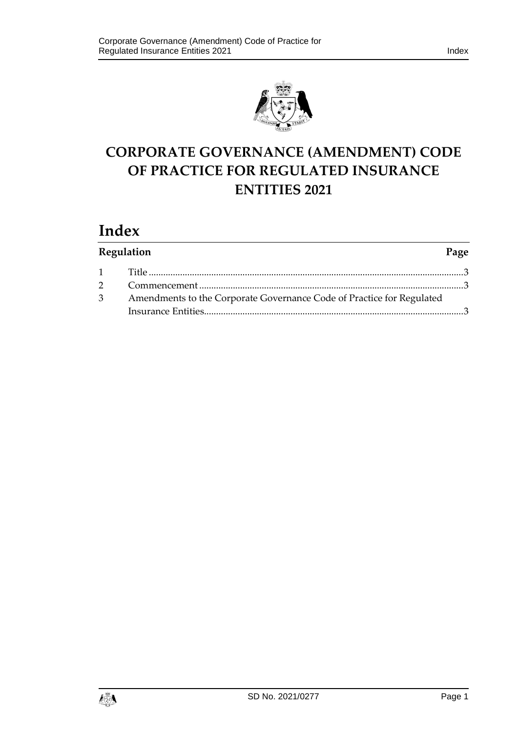

# **CORPORATE GOVERNANCE (AMENDMENT) CODE OF PRACTICE FOR REGULATED INSURANCE ENTITIES 2021**

# **Index**

| Regulation<br>Page                                                      |  |
|-------------------------------------------------------------------------|--|
|                                                                         |  |
|                                                                         |  |
| 3 Amendments to the Corporate Governance Code of Practice for Regulated |  |
|                                                                         |  |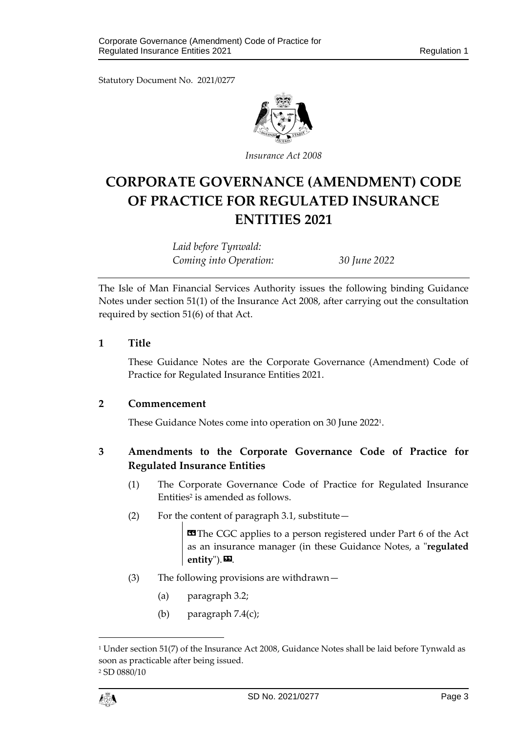Statutory Document No. 2021/0277



*Insurance Act 2008*

## **CORPORATE GOVERNANCE (AMENDMENT) CODE OF PRACTICE FOR REGULATED INSURANCE ENTITIES 2021**

*Laid before Tynwald: Coming into Operation: 30 June 2022*

The Isle of Man Financial Services Authority issues the following binding Guidance Notes under section 51(1) of the Insurance Act 2008, after carrying out the consultation required by section 51(6) of that Act.

### <span id="page-2-0"></span>**1 Title**

These Guidance Notes are the Corporate Governance (Amendment) Code of Practice for Regulated Insurance Entities 2021.

#### <span id="page-2-1"></span>**2 Commencement**

These Guidance Notes come into operation on 30 June 2022<sup>1</sup> .

## <span id="page-2-2"></span>**3 Amendments to the Corporate Governance Code of Practice for Regulated Insurance Entities**

- (1) The Corporate Governance Code of Practice for Regulated Insurance Entities<sup>2</sup> is amended as follows.
- (2) For the content of paragraph 3.1, substitute—

**ED** The CGC applies to a person registered under Part 6 of the Act as an insurance manager (in these Guidance Notes, a "**regulated**  entity").

- (3) The following provisions are withdrawn—
	- (a) paragraph 3.2;
	- (b) paragraph 7.4(c);



1

<sup>1</sup> Under section 51(7) of the Insurance Act 2008, Guidance Notes shall be laid before Tynwald as soon as practicable after being issued. <sup>2</sup> SD 0880/10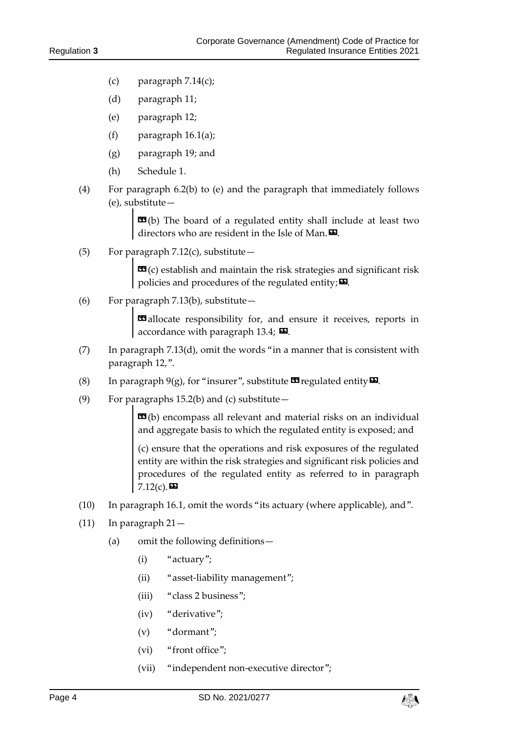- (c) paragraph  $7.14(c)$ ;
- (d) paragraph 11;
- (e) paragraph 12;
- (f) paragraph  $16.1(a)$ ;
- (g) paragraph 19; and
- (h) Schedule 1.
- (4) For paragraph 6.2(b) to (e) and the paragraph that immediately follows (e), substitute—

**EG**(b) The board of a regulated entity shall include at least two directors who are resident in the Isle of Man. $\boldsymbol{\mathsf{D}}$ .

(5) For paragraph  $7.12(c)$ , substitute -

 **establish and maintain the risk strategies and significant risk** policies and procedures of the regulated entity; $\boldsymbol{\Sigma}$ .

(6) For paragraph 7.13(b), substitute—

**E** allocate responsibility for, and ensure it receives, reports in accordance with paragraph 13.4;  $\boldsymbol{\Sigma}$ .

- (7) In paragraph  $7.13(d)$ , omit the words "in a manner that is consistent with paragraph 12,".
- (8) In paragraph  $9(g)$ , for "insurer", substitute  $\mathbf{C}$  regulated entity  $\mathbf{D}$ .
- (9) For paragraphs 15.2(b) and (c) substitute  $-$

 $\mathbf{G}(b)$  encompass all relevant and material risks on an individual and aggregate basis to which the regulated entity is exposed; and

(c) ensure that the operations and risk exposures of the regulated entity are within the risk strategies and significant risk policies and procedures of the regulated entity as referred to in paragraph  $7.12(c)$ .

- (10) In paragraph 16.1, omit the words "its actuary (where applicable), and".
- (11) In paragraph 21—
	- (a) omit the following definitions—
		- (i) "actuary";
		- (ii) "asset-liability management";
		- (iii) "class 2 business";
		- (iv) "derivative";
		- (v) "dormant";
		- (vi) "front office";
		- (vii) "independent non-executive director";

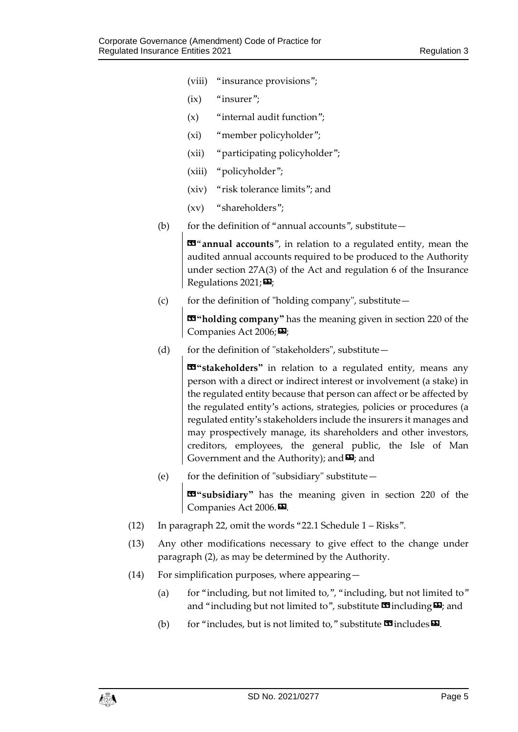- (viii) "insurance provisions";
- $(ix)$  "insurer";
- $(x)$  "internal audit function";
- (xi) "member policyholder";
- (xii) "participating policyholder";
- (xiii) "policyholder";
- (xiv) "risk tolerance limits"; and
- (xv) "shareholders";
- (b) for the definition of "annual accounts", substitute—

 $\mathbf{B}^{\alpha}$  annual accounts", in relation to a regulated entity, mean the audited annual accounts required to be produced to the Authority under section 27A(3) of the Act and regulation 6 of the Insurance Regulations  $2021;$ 

(c) for the definition of "holding company", substitute—

«**"holding company"** has the meaning given in section 220 of the Companies Act 2006;

(d) for the definition of "stakeholders", substitute $-$ 

**19** "stakeholders" in relation to a regulated entity, means any person with a direct or indirect interest or involvement (a stake) in the regulated entity because that person can affect or be affected by the regulated entity's actions, strategies, policies or procedures (a regulated entity's stakeholders include the insurers it manages and may prospectively manage, its shareholders and other investors, creditors, employees, the general public, the Isle of Man Government and the Authority); and  $\Sigma$ ; and

(e) for the definition of "subsidiary" substitute—

«**"subsidiary"** has the meaning given in section 220 of the Companies Act 2006.<sup>DD</sup>.

- (12) In paragraph 22, omit the words "22.1 Schedule 1 Risks".
- (13) Any other modifications necessary to give effect to the change under paragraph (2), as may be determined by the Authority.
- (14) For simplification purposes, where appearing—
	- (a) for "including, but not limited to,", "including, but not limited to" and "including but not limited to", substitute  $\mathbf{\Omega}$  including  $\mathbf{\Sigma}$ ; and
	- (b) for "includes, but is not limited to," substitute  $\mathbf{\Omega}$  includes  $\mathbf{\Omega}$ .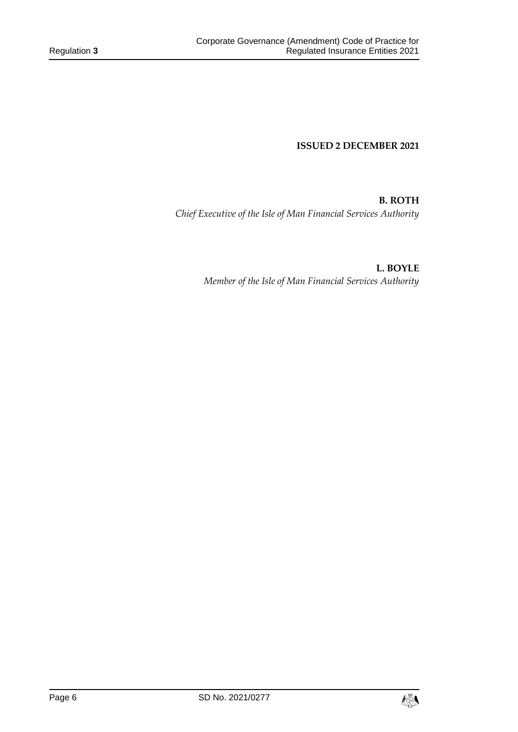**ISSUED 2 DECEMBER 2021**

**B. ROTH** *Chief Executive of the Isle of Man Financial Services Authority*

> **L. BOYLE** *Member of the Isle of Man Financial Services Authority*